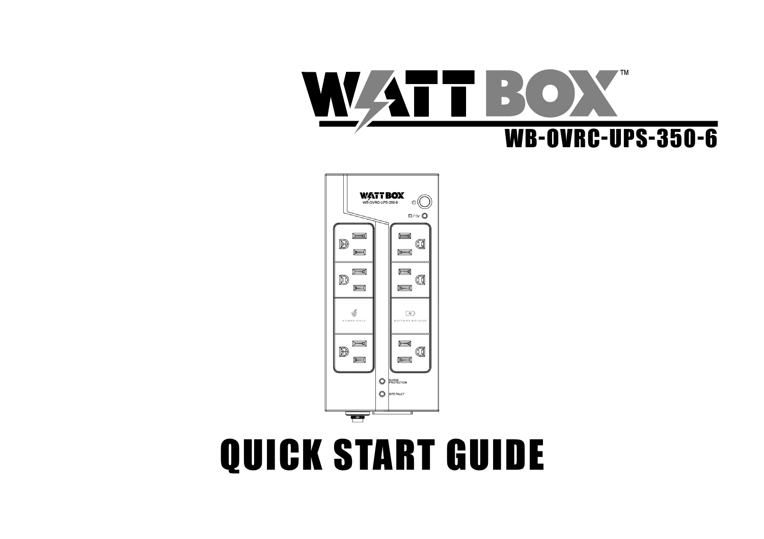# QUICK START GUIDE



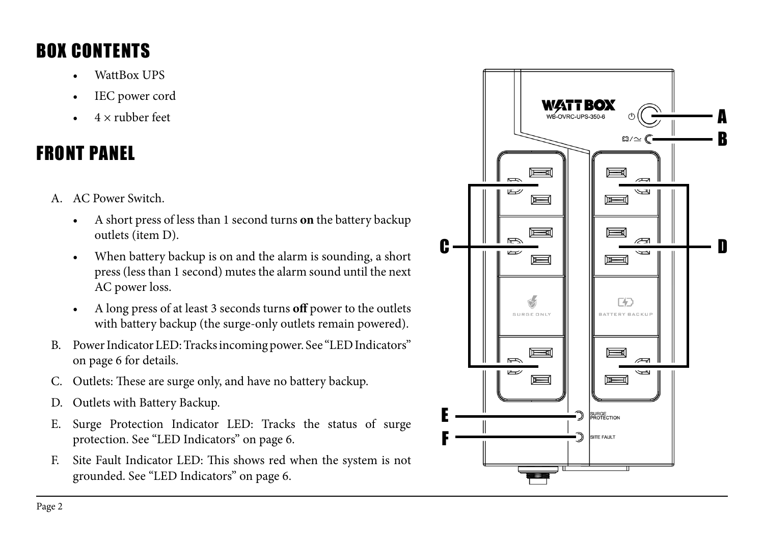# BOX CONTENTS

- WattBox UPS
- IEC power cord
- $4 \times$  rubber feet

# FRONT PANEL

- 
- A. AC Power Switch. A short press of less than 1 second turns **on** the battery backup outlets (item D).
	- When battery backup is on and the alarm is sounding, a short press (less than 1 second) mutes the alarm sound until the next AC power loss.
	- A long press of at least 3 seconds turns **off** power to the outlets with battery backup (the surge-only outlets remain powered).
- B. Power Indicator LED: Tracks incoming power. See "LED Indicators" on page 6 for details.
- C. Outlets: These are surge only, and have no battery backup.
- D. Outlets with Battery Backup.
- E. Surge Protection Indicator LED: Tracks the status of surge protection. See "LED Indicators" on page 6.
- F. Site Fault Indicator LED: This shows red when the system is not grounded. See "LED Indicators" on page 6.

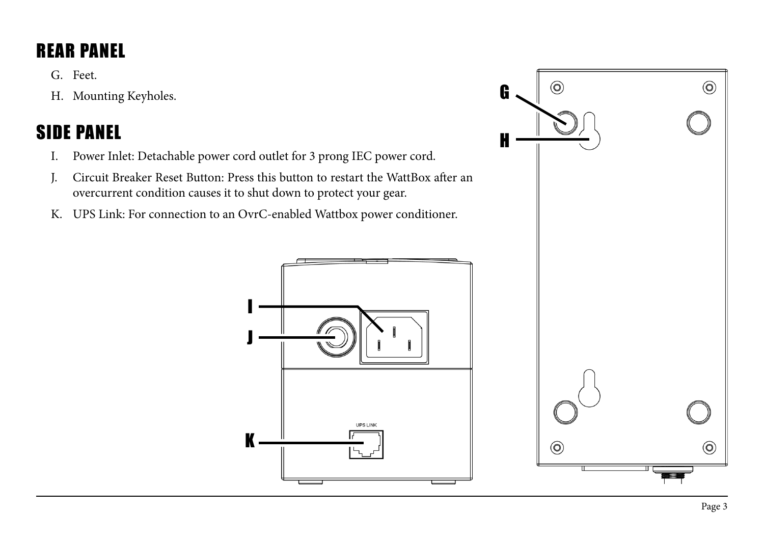# REAR PANEL

G. Feet.

H. Mounting Keyholes.

# SIDE PANEL

- I. Power Inlet: Detachable power cord outlet for 3 prong IEC power cord.
- J. Circuit Breaker Reset Button: Press this button to restart the WattBox after an overcurrent condition causes it to shut down to protect your gear.
- K. UPS Link: For connection to an OvrC-enabled Wattbox power conditioner.



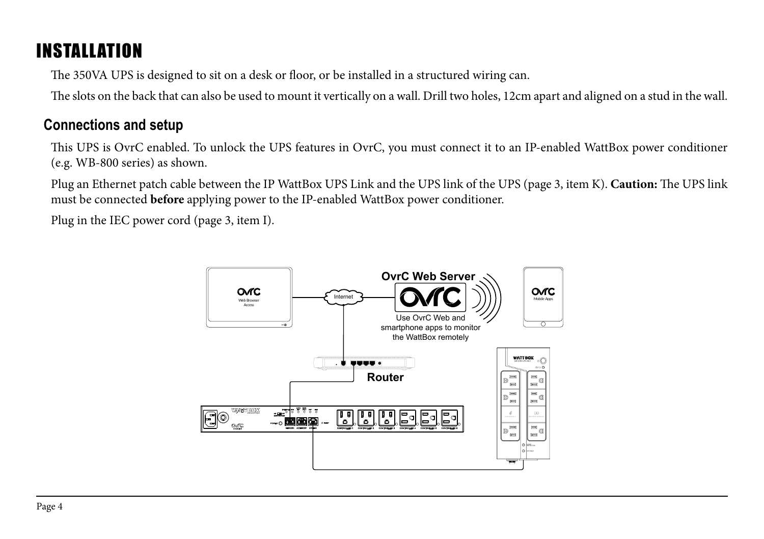# INSTALLATION

The 350VA UPS is designed to sit on a desk or floor, or be installed in a structured wiring can.

The slots on the back that can also be used to mount it vertically on a wall. Drill two holes, 12cm apart and aligned on a stud in the wall.

### **Connections and setup**

This UPS is OvrC enabled. To unlock the UPS features in OvrC, you must connect it to an IP-enabled WattBox power conditioner (e.g. WB-800 series) as shown.

Plug an Ethernet patch cable between the IP WattBox UPS Link and the UPS link of the UPS (page 3, item K). **Caution:** The UPS link must be connected **before** applying power to the IP-enabled WattBox power conditioner.

Plug in the IEC power cord (page 3, item I).

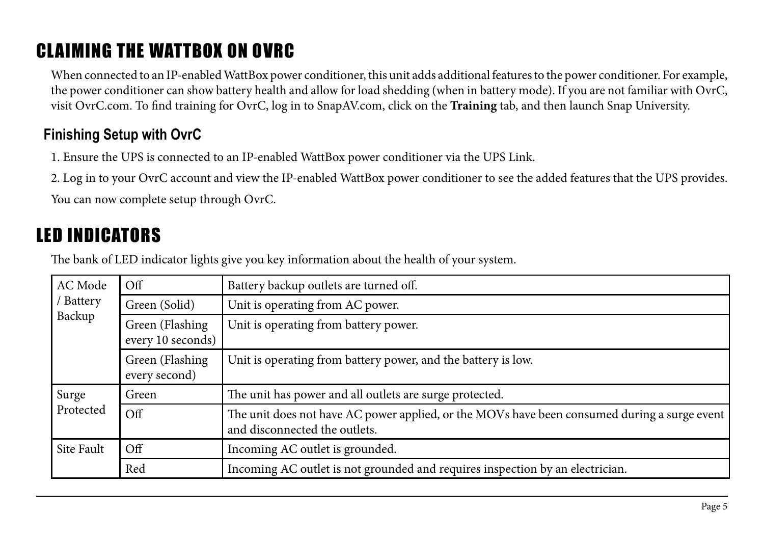# CLAIMING THE WATTBOX ON OVRC

When connected to an IP-enabled WattBox power conditioner, this unit adds additional features to the power conditioner. For example, the power conditioner can show battery health and allow for load shedding (when in battery mode). If you are not familiar with OvrC, visit OvrC.com. To find training for OvrC, log in to SnapAV.com, click on the **Training** tab, and then launch Snap University.

## **Finishing Setup with OvrC**

1. Ensure the UPS is connected to an IP-enabled WattBox power conditioner via the UPS Link.

2. Log in to your OvrC account and view the IP-enabled WattBox power conditioner to see the added features that the UPS provides.

You can now complete setup through OvrC.

# LED INDICATORS

The bank of LED indicator lights give you key information about the health of your system.

| AC Mode<br>Battery<br>Backup | Оff                                  | Battery backup outlets are turned off.                                                                                        |  |
|------------------------------|--------------------------------------|-------------------------------------------------------------------------------------------------------------------------------|--|
|                              | Green (Solid)                        | Unit is operating from AC power.                                                                                              |  |
|                              | Green (Flashing<br>every 10 seconds) | Unit is operating from battery power.                                                                                         |  |
|                              | Green (Flashing<br>every second)     | Unit is operating from battery power, and the battery is low.                                                                 |  |
| Surge<br>Protected           | Green                                | The unit has power and all outlets are surge protected.                                                                       |  |
|                              | $\overline{Off}$                     | The unit does not have AC power applied, or the MOVs have been consumed during a surge event<br>and disconnected the outlets. |  |
| Site Fault                   | $\Omega$                             | Incoming AC outlet is grounded.                                                                                               |  |
|                              | Red                                  | Incoming AC outlet is not grounded and requires inspection by an electrician.                                                 |  |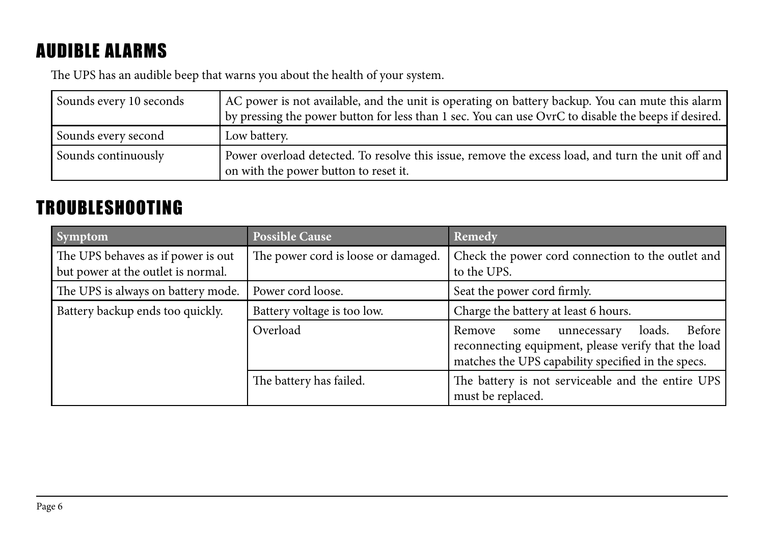# AUDIBLE ALARMS

The UPS has an audible beep that warns you about the health of your system.

| Sounds every 10 seconds | AC power is not available, and the unit is operating on battery backup. You can mute this alarm  <br>by pressing the power button for less than 1 sec. You can use OvrC to disable the beeps if desired. |
|-------------------------|----------------------------------------------------------------------------------------------------------------------------------------------------------------------------------------------------------|
| Sounds every second     | Low battery.                                                                                                                                                                                             |
| Sounds continuously     | Power overload detected. To resolve this issue, remove the excess load, and turn the unit off and<br>on with the power button to reset it.                                                               |

# TROUBLESHOOTING

| <b>Symptom</b>                                                           | <b>Possible Cause</b>               | Remedy                                                                                                                                                         |
|--------------------------------------------------------------------------|-------------------------------------|----------------------------------------------------------------------------------------------------------------------------------------------------------------|
| The UPS behaves as if power is out<br>but power at the outlet is normal. | The power cord is loose or damaged. | Check the power cord connection to the outlet and<br>to the UPS.                                                                                               |
| The UPS is always on battery mode.                                       | Power cord loose.                   | Seat the power cord firmly.                                                                                                                                    |
| Battery backup ends too quickly.                                         | Battery voltage is too low.         | Charge the battery at least 6 hours.                                                                                                                           |
|                                                                          | Overload                            | Before<br>loads.<br>Remove<br>unnecessary<br>some<br>reconnecting equipment, please verify that the load<br>matches the UPS capability specified in the specs. |
|                                                                          | The battery has failed.             | The battery is not serviceable and the entire UPS<br>must be replaced.                                                                                         |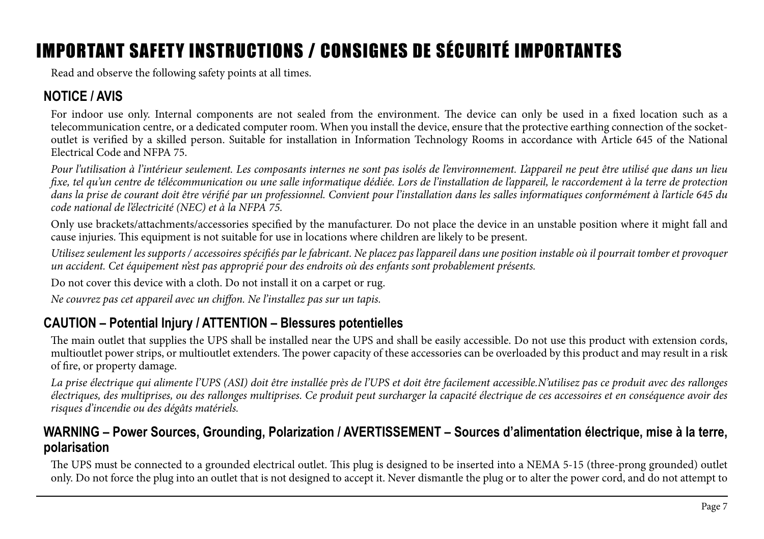# IMPORTANT SAFETY INSTRUCTIONS / CONSIGNES DE SÉCURITÉ IMPORTANTES

Read and observe the following safety points at all times.

## **NOTICE / AVIS**

For indoor use only. Internal components are not sealed from the environment. The device can only be used in a fixed location such as a telecommunication centre, or a dedicated computer room. When you install the device, ensure that the protective earthing connection of the socketoutlet is verified by a skilled person. Suitable for installation in Information Technology Rooms in accordance with Article 645 of the National Electrical Code and NFPA 75.

*Pour l'utilisation à l'intérieur seulement. Les composants internes ne sont pas isolés de l'environnement. L'appareil ne peut être utilisé que dans un lieu fixe, tel qu'un centre de télécommunication ou une salle informatique dédiée. Lors de l'installation de l'appareil, le raccordement à la terre de protection dans la prise de courant doit être vérifié par un professionnel. Convient pour l'installation dans les salles informatiques conformément à l'article 645 du code national de l'électricité (NEC) et à la NFPA 75.* 

Only use brackets/attachments/accessories specified by the manufacturer. Do not place the device in an unstable position where it might fall and cause injuries. This equipment is not suitable for use in locations where children are likely to be present.

*Utilisez seulement les supports / accessoires spécifiés par le fabricant. Ne placez pas l'appareil dans une position instable où il pourrait tomber et provoquer un accident. Cet équipement n'est pas approprié pour des endroits où des enfants sont probablement présents.* 

Do not cover this device with a cloth. Do not install it on a carpet or rug.

*Ne couvrez pas cet appareil avec un chiffon. Ne l'installez pas sur un tapis.*

### **CAUTION – Potential Injury / ATTENTION – Blessures potentielles**

The main outlet that supplies the UPS shall be installed near the UPS and shall be easily accessible. Do not use this product with extension cords, multioutlet power strips, or multioutlet extenders. The power capacity of these accessories can be overloaded by this product and may result in a risk of fire, or property damage.

La prise électrique qui alimente l'UPS (ASI) doit être installée près de l'UPS et doit être facilement accessible.N'utilisez pas ce produit avec des rallonges *électriques, des multiprises, ou des rallonges multiprises. Ce produit peut surcharger la capacité électrique de ces accessoires et en conséquence avoir des risques d'incendie ou des dégâts matériels.*

#### **WARNING – Power Sources, Grounding, Polarization / AVERTISSEMENT – Sources d'alimentation électrique, mise à la terre, polarisation**

The UPS must be connected to a grounded electrical outlet. This plug is designed to be inserted into a NEMA 5-15 (three-prong grounded) outlet only. Do not force the plug into an outlet that is not designed to accept it. Never dismantle the plug or to alter the power cord, and do not attempt to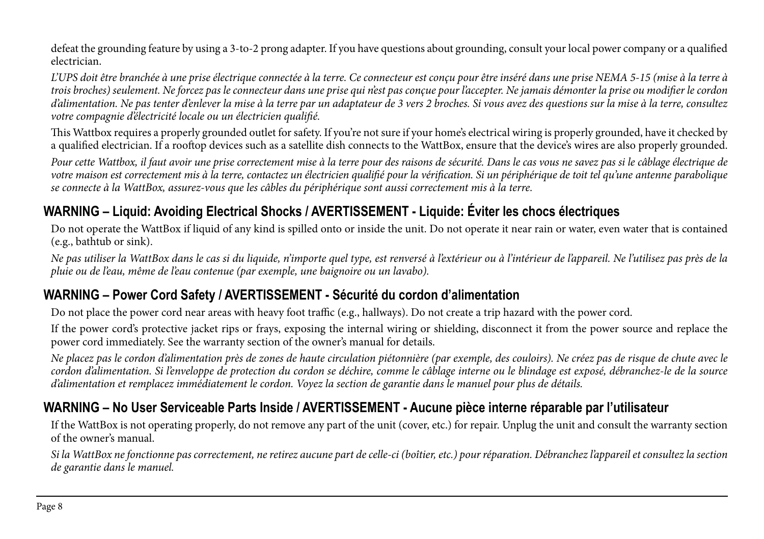defeat the grounding feature by using a 3-to-2 prong adapter. If you have questions about grounding, consult your local power company or a qualified electrician.

*L'UPS doit être branchée à une prise électrique connectée à la terre. Ce connecteur est conçu pour être inséré dans une prise NEMA 5-15 (mise à la terre à trois broches) seulement. Ne forcez pas le connecteur dans une prise qui n'est pas conçue pour l'accepter. Ne jamais démonter la prise ou modifier le cordon d'alimentation. Ne pas tenter d'enlever la mise à la terre par un adaptateur de 3 vers 2 broches. Si vous avez des questions sur la mise à la terre, consultez votre compagnie d'électricité locale ou un électricien qualifié.* 

This Wattbox requires a properly grounded outlet for safety. If you're not sure if your home's electrical wiring is properly grounded, have it checked by a qualified electrician. If a rooftop devices such as a satellite dish connects to the WattBox, ensure that the device's wires are also properly grounded.

*Pour cette Wattbox, il faut avoir une prise correctement mise à la terre pour des raisons de sécurité. Dans le cas vous ne savez pas si le câblage électrique de*  votre maison est correctement mis à la terre, contactez un électricien qualifié pour la vérification. Si un périphérique de toit tel qu'une antenne parabolique *se connecte à la WattBox, assurez-vous que les câbles du périphérique sont aussi correctement mis à la terre.*

### **WARNING – Liquid: Avoiding Electrical Shocks / AVERTISSEMENT - Liquide: Éviter les chocs électriques**

Do not operate the WattBox if liquid of any kind is spilled onto or inside the unit. Do not operate it near rain or water, even water that is contained (e.g., bathtub or sink).

*Ne pas utiliser la WattBox dans le cas si du liquide, n'importe quel type, est renversé à l'extérieur ou à l'intérieur de l'appareil. Ne l'utilisez pas près de la pluie ou de l'eau, même de l'eau contenue (par exemple, une baignoire ou un lavabo).*

### **WARNING – Power Cord Safety / AVERTISSEMENT - Sécurité du cordon d'alimentation**

Do not place the power cord near areas with heavy foot traffic (e.g., hallways). Do not create a trip hazard with the power cord.

If the power cord's protective jacket rips or frays, exposing the internal wiring or shielding, disconnect it from the power source and replace the power cord immediately. See the warranty section of the owner's manual for details.

*Ne placez pas le cordon d'alimentation près de zones de haute circulation piétonnière (par exemple, des couloirs). Ne créez pas de risque de chute avec le cordon d'alimentation. Si l'enveloppe de protection du cordon se déchire, comme le câblage interne ou le blindage est exposé, débranchez-le de la source d'alimentation et remplacez immédiatement le cordon. Voyez la section de garantie dans le manuel pour plus de détails.*

### **WARNING – No User Serviceable Parts Inside / AVERTISSEMENT - Aucune pièce interne réparable par l'utilisateur**

If the WattBox is not operating properly, do not remove any part of the unit (cover, etc.) for repair. Unplug the unit and consult the warranty section of the owner's manual.

*Si la WattBox ne fonctionne pas correctement, ne retirez aucune part de celle-ci (boîtier, etc.) pour réparation. Débranchez l'appareil et consultez la section de garantie dans le manuel.*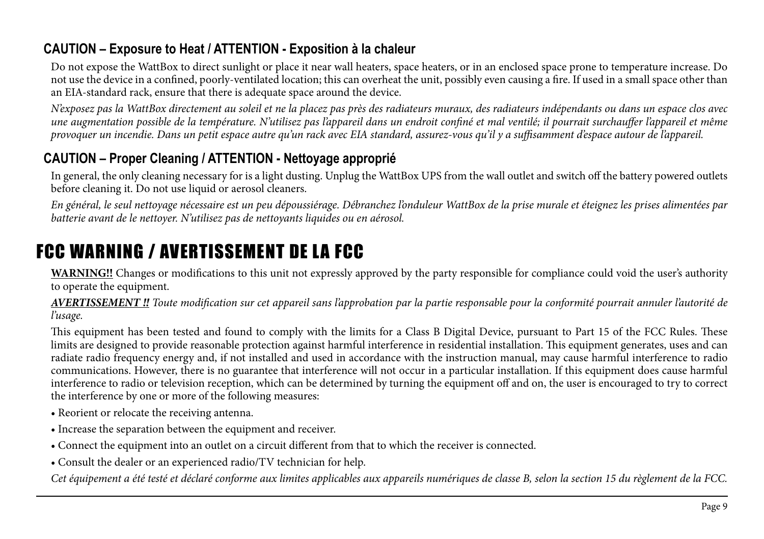### **CAUTION – Exposure to Heat / ATTENTION - Exposition à la chaleur**

Do not expose the WattBox to direct sunlight or place it near wall heaters, space heaters, or in an enclosed space prone to temperature increase. Do not use the device in a confined, poorly-ventilated location; this can overheat the unit, possibly even causing a fire. If used in a small space other than an EIA-standard rack, ensure that there is adequate space around the device.

*N'exposez pas la WattBox directement au soleil et ne la placez pas près des radiateurs muraux, des radiateurs indépendants ou dans un espace clos avec une augmentation possible de la température. N'utilisez pas l'appareil dans un endroit confiné et mal ventilé; il pourrait surchauffer l'appareil et même provoquer un incendie. Dans un petit espace autre qu'un rack avec EIA standard, assurez-vous qu'il y a suffisamment d'espace autour de l'appareil.*

### **CAUTION – Proper Cleaning / ATTENTION - Nettoyage approprié**

In general, the only cleaning necessary for is a light dusting. Unplug the WattBox UPS from the wall outlet and switch off the battery powered outlets before cleaning it. Do not use liquid or aerosol cleaners.

*En général, le seul nettoyage nécessaire est un peu dépoussiérage. Débranchez l'onduleur WattBox de la prise murale et éteignez les prises alimentées par batterie avant de le nettoyer. N'utilisez pas de nettoyants liquides ou en aérosol.*

# FCC WARNING / AVERTISSEMENT DE LA FCC

**WARNING!!** Changes or modifications to this unit not expressly approved by the party responsible for compliance could void the user's authority to operate the equipment.

*AVERTISSEMENT !! Toute modification sur cet appareil sans l'approbation par la partie responsable pour la conformité pourrait annuler l'autorité de l'usage.*

This equipment has been tested and found to comply with the limits for a Class B Digital Device, pursuant to Part 15 of the FCC Rules. These limits are designed to provide reasonable protection against harmful interference in residential installation. This equipment generates, uses and can radiate radio frequency energy and, if not installed and used in accordance with the instruction manual, may cause harmful interference to radio communications. However, there is no guarantee that interference will not occur in a particular installation. If this equipment does cause harmful interference to radio or television reception, which can be determined by turning the equipment off and on, the user is encouraged to try to correct the interference by one or more of the following measures:

- Reorient or relocate the receiving antenna.
- Increase the separation between the equipment and receiver.
- Connect the equipment into an outlet on a circuit different from that to which the receiver is connected.
- Consult the dealer or an experienced radio/TV technician for help.

*Cet équipement a été testé et déclaré conforme aux limites applicables aux appareils numériques de classe B, selon la section 15 du règlement de la FCC.*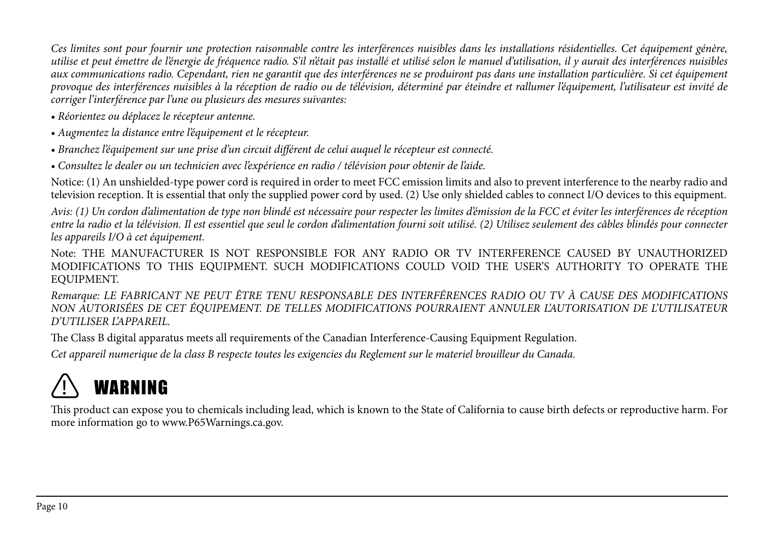*Ces limites sont pour fournir une protection raisonnable contre les interférences nuisibles dans les installations résidentielles. Cet équipement génère, utilise et peut émettre de l'énergie de fréquence radio. S'il n'était pas installé et utilisé selon le manuel d'utilisation, il y aurait des interférences nuisibles aux communications radio. Cependant, rien ne garantit que des interférences ne se produiront pas dans une installation particulière. Si cet équipement provoque des interférences nuisibles à la réception de radio ou de télévision, déterminé par éteindre et rallumer l'équipement, l'utilisateur est invité de corriger l'interférence par l'une ou plusieurs des mesures suivantes:* 

- *Réorientez ou déplacez le récepteur antenne.*
- *Augmentez la distance entre l'équipement et le récepteur.*
- *Branchez l'équipement sur une prise d'un circuit différent de celui auquel le récepteur est connecté.*
- *Consultez le dealer ou un technicien avec l'expérience en radio / télévision pour obtenir de l'aide.*

Notice: (1) An unshielded-type power cord is required in order to meet FCC emission limits and also to prevent interference to the nearby radio and television reception. It is essential that only the supplied power cord by used. (2) Use only shielded cables to connect I/O devices to this equipment.

*Avis: (1) Un cordon d'alimentation de type non blindé est nécessaire pour respecter les limites d'émission de la FCC et éviter les interférences de réception entre la radio et la télévision. Il est essentiel que seul le cordon d'alimentation fourni soit utilisé. (2) Utilisez seulement des câbles blindés pour connecter les appareils I/O à cet équipement.* 

Note: THE MANUFACTURER IS NOT RESPONSIBLE FOR ANY RADIO OR TV INTERFERENCE CAUSED BY UNAUTHORIZED MODIFICATIONS TO THIS EQUIPMENT. SUCH MODIFICATIONS COULD VOID THE USER'S AUTHORITY TO OPERATE THE EQUIPMENT.

*Remarque: LE FABRICANT NE PEUT ÊTRE TENU RESPONSABLE DES INTERFÉRENCES RADIO OU TV À CAUSE DES MODIFICATIONS NON AUTORISÉES DE CET ÉQUIPEMENT. DE TELLES MODIFICATIONS POURRAIENT ANNULER L'AUTORISATION DE L'UTILISATEUR D'UTILISER L'APPAREIL.*

The Class B digital apparatus meets all requirements of the Canadian Interference-Causing Equipment Regulation.

*Cet appareil numerique de la class B respecte toutes les exigencies du Reglement sur le materiel brouilleur du Canada.*



This product can expose you to chemicals including lead, which is known to the State of California to cause birth defects or reproductive harm. For more information go to www.P65Warnings.ca.gov.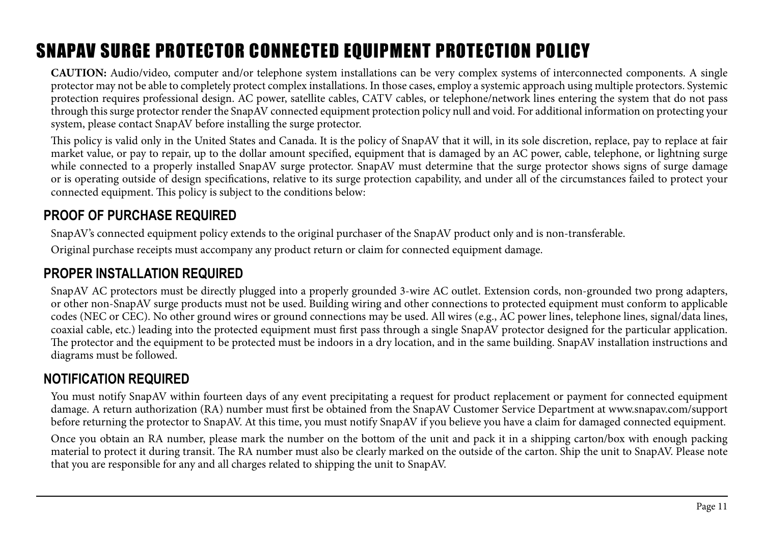# SNAPAV SURGE PROTECTOR CONNECTED EQUIPMENT PROTECTION POLICY

**CAUTION:** Audio/video, computer and/or telephone system installations can be very complex systems of interconnected components. A single protector may not be able to completely protect complex installations. In those cases, employ a systemic approach using multiple protectors. Systemic protection requires professional design. AC power, satellite cables, CATV cables, or telephone/network lines entering the system that do not pass through this surge protector render the SnapAV connected equipment protection policy null and void. For additional information on protecting your system, please contact SnapAV before installing the surge protector.

This policy is valid only in the United States and Canada. It is the policy of SnapAV that it will, in its sole discretion, replace, pay to replace at fair market value, or pay to repair, up to the dollar amount specified, equipment that is damaged by an AC power, cable, telephone, or lightning surge while connected to a properly installed SnapAV surge protector. SnapAV must determine that the surge protector shows signs of surge damage or is operating outside of design specifications, relative to its surge protection capability, and under all of the circumstances failed to protect your connected equipment. This policy is subject to the conditions below:

### **PROOF OF PURCHASE REQUIRED**

SnapAV's connected equipment policy extends to the original purchaser of the SnapAV product only and is non-transferable.

Original purchase receipts must accompany any product return or claim for connected equipment damage.

### **PROPER INSTALLATION REQUIRED**

SnapAV AC protectors must be directly plugged into a properly grounded 3-wire AC outlet. Extension cords, non-grounded two prong adapters, or other non-SnapAV surge products must not be used. Building wiring and other connections to protected equipment must conform to applicable codes (NEC or CEC). No other ground wires or ground connections may be used. All wires (e.g., AC power lines, telephone lines, signal/data lines, coaxial cable, etc.) leading into the protected equipment must first pass through a single SnapAV protector designed for the particular application. The protector and the equipment to be protected must be indoors in a dry location, and in the same building. SnapAV installation instructions and diagrams must be followed.

### **NOTIFICATION REQUIRED**

You must notify SnapAV within fourteen days of any event precipitating a request for product replacement or payment for connected equipment damage. A return authorization (RA) number must first be obtained from the SnapAV Customer Service Department at www.snapav.com/support before returning the protector to SnapAV. At this time, you must notify SnapAV if you believe you have a claim for damaged connected equipment.

Once you obtain an RA number, please mark the number on the bottom of the unit and pack it in a shipping carton/box with enough packing material to protect it during transit. The RA number must also be clearly marked on the outside of the carton. Ship the unit to SnapAV. Please note that you are responsible for any and all charges related to shipping the unit to SnapAV.